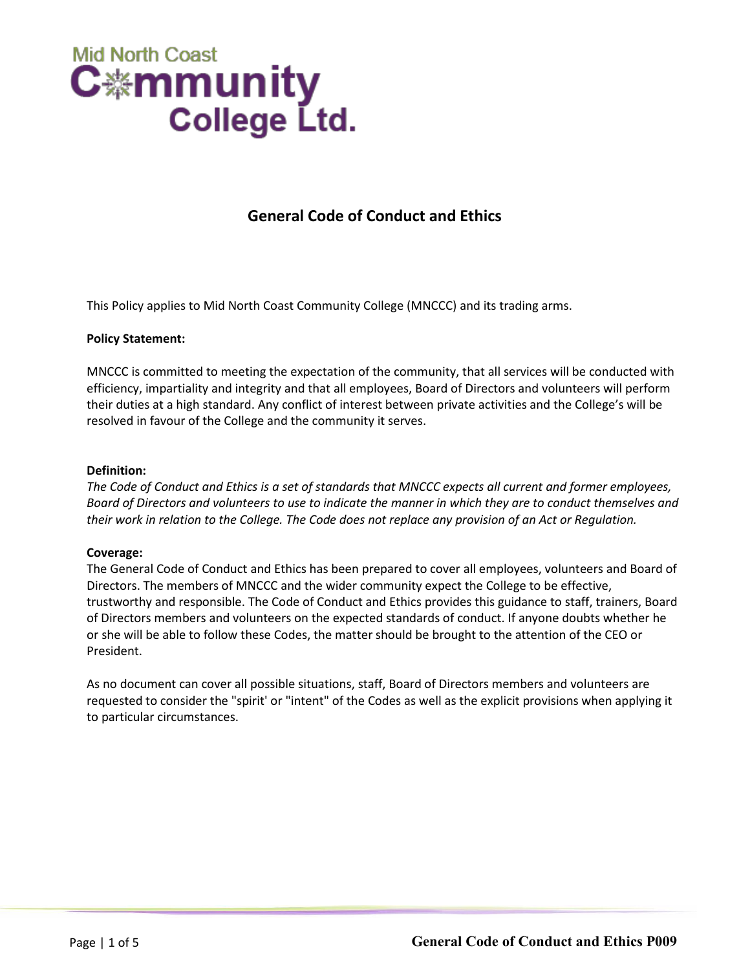# **Mid North Coast** C.≝mmunity **College Ltd.**

### **General Code of Conduct and Ethics**

This Policy applies to Mid North Coast Community College (MNCCC) and its trading arms.

#### **Policy Statement:**

MNCCC is committed to meeting the expectation of the community, that all services will be conducted with efficiency, impartiality and integrity and that all employees, Board of Directors and volunteers will perform their duties at a high standard. Any conflict of interest between private activities and the College's will be resolved in favour of the College and the community it serves.

#### **Definition:**

*The Code of Conduct and Ethics is a set of standards that MNCCC expects all current and former employees, Board of Directors and volunteers to use to indicate the manner in which they are to conduct themselves and their work in relation to the College. The Code does not replace any provision of an Act or Regulation.*

### **Coverage:**

The General Code of Conduct and Ethics has been prepared to cover all employees, volunteers and Board of Directors. The members of MNCCC and the wider community expect the College to be effective, trustworthy and responsible. The Code of Conduct and Ethics provides this guidance to staff, trainers, Board of Directors members and volunteers on the expected standards of conduct. If anyone doubts whether he or she will be able to follow these Codes, the matter should be brought to the attention of the CEO or President.

As no document can cover all possible situations, staff, Board of Directors members and volunteers are requested to consider the "spirit' or "intent" of the Codes as well as the explicit provisions when applying it to particular circumstances.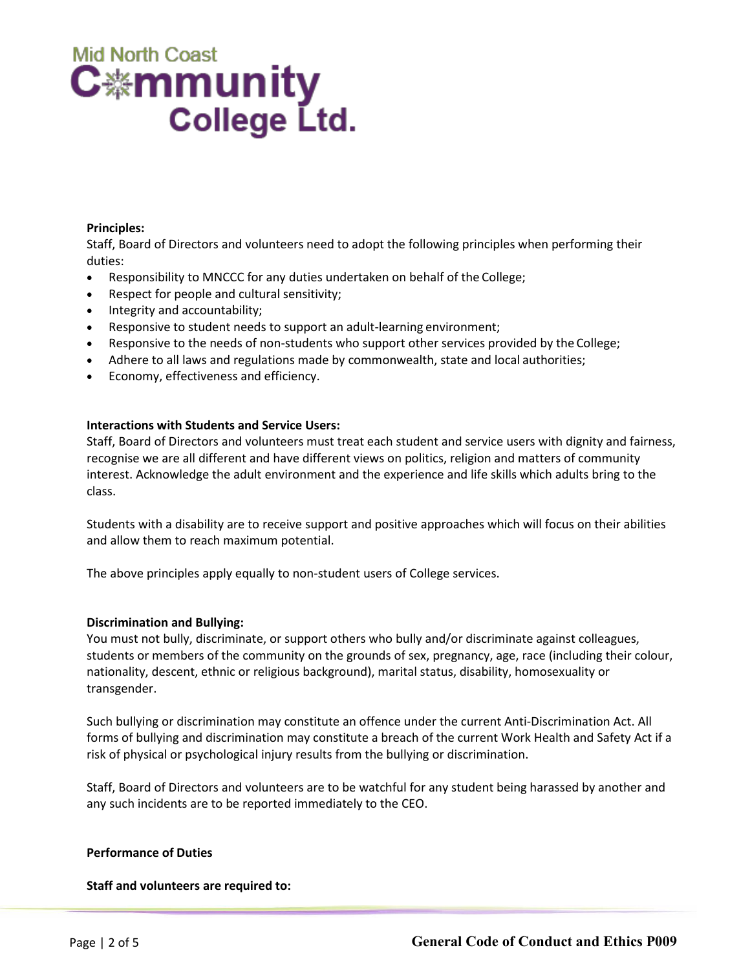# **Mid North Coast** C.≝mmunity **College Ltd.**

#### **Principles:**

Staff, Board of Directors and volunteers need to adopt the following principles when performing their duties:

- Responsibility to MNCCC for any duties undertaken on behalf of the College;
- Respect for people and cultural sensitivity;
- Integrity and accountability;
- Responsive to student needs to support an adult-learning environment;
- Responsive to the needs of non-students who support other services provided by the College;
- Adhere to all laws and regulations made by commonwealth, state and local authorities;
- Economy, effectiveness and efficiency.

### **Interactions with Students and Service Users:**

Staff, Board of Directors and volunteers must treat each student and service users with dignity and fairness, recognise we are all different and have different views on politics, religion and matters of community interest. Acknowledge the adult environment and the experience and life skills which adults bring to the class.

Students with a disability are to receive support and positive approaches which will focus on their abilities and allow them to reach maximum potential.

The above principles apply equally to non-student users of College services.

### **Discrimination and Bullying:**

You must not bully, discriminate, or support others who bully and/or discriminate against colleagues, students or members of the community on the grounds of sex, pregnancy, age, race (including their colour, nationality, descent, ethnic or religious background), marital status, disability, homosexuality or transgender.

Such bullying or discrimination may constitute an offence under the current Anti-Discrimination Act. All forms of bullying and discrimination may constitute a breach of the current Work Health and Safety Act if a risk of physical or psychological injury results from the bullying or discrimination.

Staff, Board of Directors and volunteers are to be watchful for any student being harassed by another and any such incidents are to be reported immediately to the CEO.

### **Performance of Duties**

**Staff and volunteers are required to:**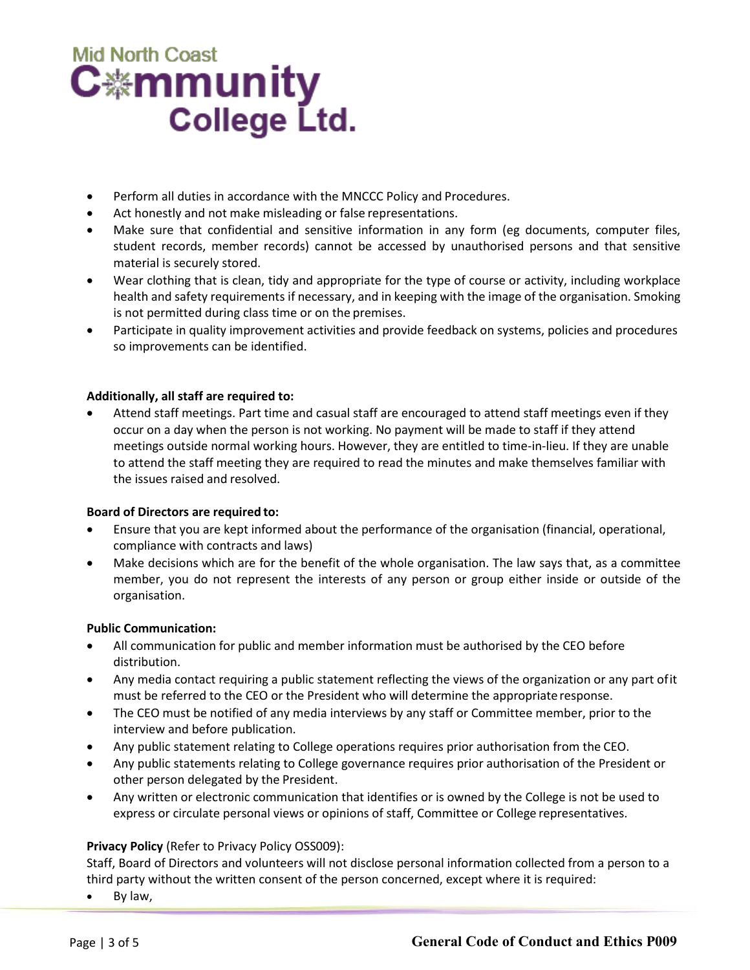# **Mid North Coast** C.⊯mmunity **College Ltd.**

- Perform all duties in accordance with the MNCCC Policy and Procedures.
- Act honestly and not make misleading or false representations.
- Make sure that confidential and sensitive information in any form (eg documents, computer files, student records, member records) cannot be accessed by unauthorised persons and that sensitive material is securely stored.
- Wear clothing that is clean, tidy and appropriate for the type of course or activity, including workplace health and safety requirements if necessary, and in keeping with the image of the organisation. Smoking is not permitted during class time or on the premises.
- Participate in quality improvement activities and provide feedback on systems, policies and procedures so improvements can be identified.

### **Additionally, all staff are required to:**

• Attend staff meetings. Part time and casual staff are encouraged to attend staff meetings even if they occur on a day when the person is not working. No payment will be made to staff if they attend meetings outside normal working hours. However, they are entitled to time-in-lieu. If they are unable to attend the staff meeting they are required to read the minutes and make themselves familiar with the issues raised and resolved.

### **Board of Directors are required to:**

- Ensure that you are kept informed about the performance of the organisation (financial, operational, compliance with contracts and laws)
- Make decisions which are for the benefit of the whole organisation. The law says that, as a committee member, you do not represent the interests of any person or group either inside or outside of the organisation.

### **Public Communication:**

- All communication for public and member information must be authorised by the CEO before distribution.
- Any media contact requiring a public statement reflecting the views of the organization or any part ofit must be referred to the CEO or the President who will determine the appropriateresponse.
- The CEO must be notified of any media interviews by any staff or Committee member, prior to the interview and before publication.
- Any public statement relating to College operations requires prior authorisation from the CEO.
- Any public statements relating to College governance requires prior authorisation of the President or other person delegated by the President.
- Any written or electronic communication that identifies or is owned by the College is not be used to express or circulate personal views or opinions of staff, Committee or College representatives.

### **Privacy Policy** (Refer to Privacy Policy OSS009):

Staff, Board of Directors and volunteers will not disclose personal information collected from a person to a third party without the written consent of the person concerned, except where it is required:

By law,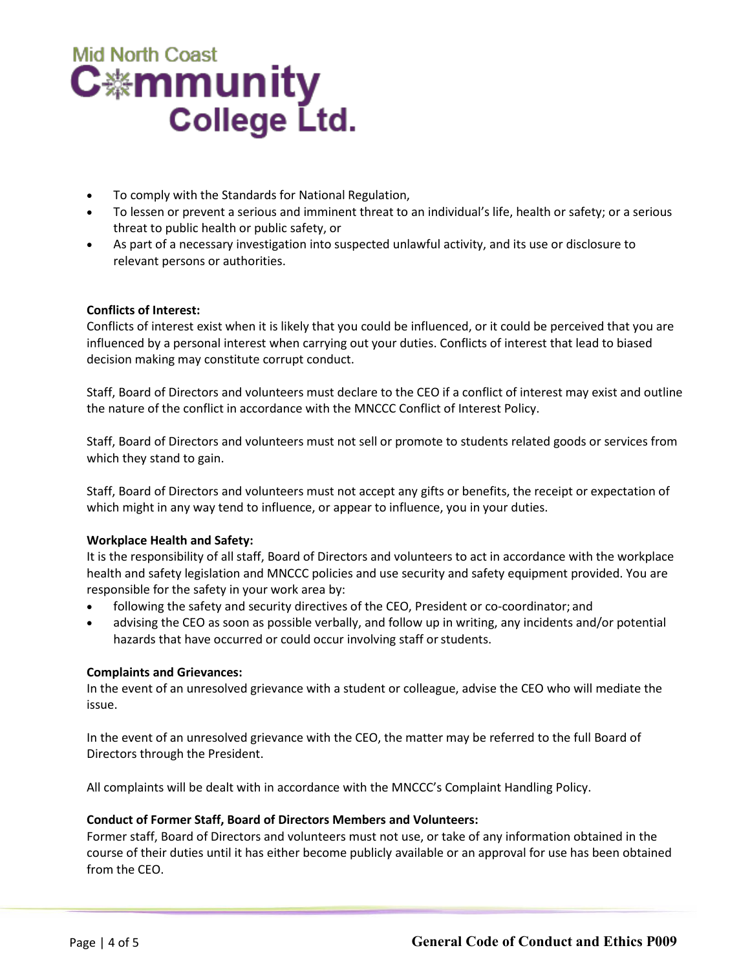# **Mid North Coast** C<sub>举</sub>mmunity **College Ltd.**

- To comply with the Standards for National Regulation,
- To lessen or prevent a serious and imminent threat to an individual's life, health or safety; or a serious threat to public health or public safety, or
- As part of a necessary investigation into suspected unlawful activity, and its use or disclosure to relevant persons or authorities.

### **Conflicts of Interest:**

Conflicts of interest exist when it is likely that you could be influenced, or it could be perceived that you are influenced by a personal interest when carrying out your duties. Conflicts of interest that lead to biased decision making may constitute corrupt conduct.

Staff, Board of Directors and volunteers must declare to the CEO if a conflict of interest may exist and outline the nature of the conflict in accordance with the MNCCC Conflict of Interest Policy.

Staff, Board of Directors and volunteers must not sell or promote to students related goods or services from which they stand to gain.

Staff, Board of Directors and volunteers must not accept any gifts or benefits, the receipt or expectation of which might in any way tend to influence, or appear to influence, you in your duties.

### **Workplace Health and Safety:**

It is the responsibility of all staff, Board of Directors and volunteers to act in accordance with the workplace health and safety legislation and MNCCC policies and use security and safety equipment provided. You are responsible for the safety in your work area by:

- following the safety and security directives of the CEO, President or co-coordinator; and
- advising the CEO as soon as possible verbally, and follow up in writing, any incidents and/or potential hazards that have occurred or could occur involving staff or students.

### **Complaints and Grievances:**

In the event of an unresolved grievance with a student or colleague, advise the CEO who will mediate the issue.

In the event of an unresolved grievance with the CEO, the matter may be referred to the full Board of Directors through the President.

All complaints will be dealt with in accordance with the MNCCC's Complaint Handling Policy.

### **Conduct of Former Staff, Board of Directors Members and Volunteers:**

Former staff, Board of Directors and volunteers must not use, or take of any information obtained in the course of their duties until it has either become publicly available or an approval for use has been obtained from the CEO.